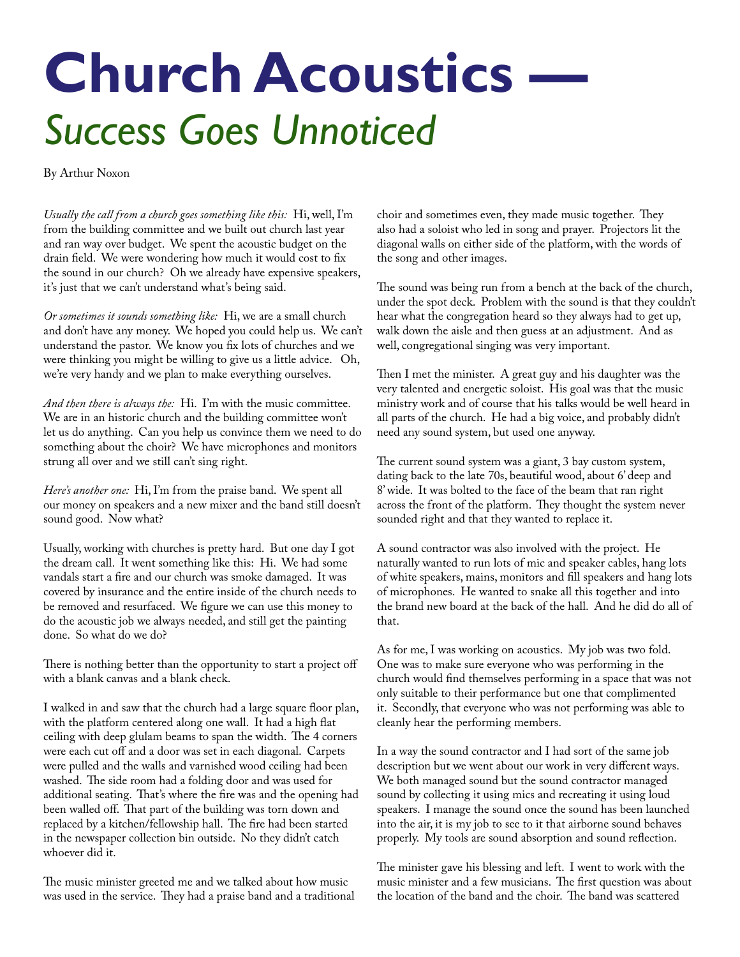## **Church Acoustics -***Success Goes Unnoticed*

By Arthur Noxon

*Usually the call from a church goes something like this:* Hi, well, I'm from the building committee and we built out church last year and ran way over budget. We spent the acoustic budget on the drain field. We were wondering how much it would cost to fix the sound in our church? Oh we already have expensive speakers, it's just that we can't understand what's being said.

*Or sometimes it sounds something like:* Hi, we are a small church and don't have any money. We hoped you could help us. We can't understand the pastor. We know you fix lots of churches and we were thinking you might be willing to give us a little advice. Oh, we're very handy and we plan to make everything ourselves.

*And then there is always the:* Hi. I'm with the music committee. We are in an historic church and the building committee won't let us do anything. Can you help us convince them we need to do something about the choir? We have microphones and monitors strung all over and we still can't sing right.

*Here's another one:* Hi, I'm from the praise band. We spent all our money on speakers and a new mixer and the band still doesn't sound good. Now what?

Usually, working with churches is pretty hard. But one day I got the dream call. It went something like this: Hi. We had some vandals start a fire and our church was smoke damaged. It was covered by insurance and the entire inside of the church needs to be removed and resurfaced. We figure we can use this money to do the acoustic job we always needed, and still get the painting done. So what do we do?

There is nothing better than the opportunity to start a project off with a blank canvas and a blank check.

I walked in and saw that the church had a large square floor plan, with the platform centered along one wall. It had a high flat ceiling with deep glulam beams to span the width. The 4 corners were each cut off and a door was set in each diagonal. Carpets were pulled and the walls and varnished wood ceiling had been washed. The side room had a folding door and was used for additional seating. That's where the fire was and the opening had been walled off. That part of the building was torn down and replaced by a kitchen/fellowship hall. The fire had been started in the newspaper collection bin outside. No they didn't catch whoever did it.

The music minister greeted me and we talked about how music was used in the service. They had a praise band and a traditional choir and sometimes even, they made music together. They also had a soloist who led in song and prayer. Projectors lit the diagonal walls on either side of the platform, with the words of the song and other images.

The sound was being run from a bench at the back of the church, under the spot deck. Problem with the sound is that they couldn't hear what the congregation heard so they always had to get up, walk down the aisle and then guess at an adjustment. And as well, congregational singing was very important.

Then I met the minister. A great guy and his daughter was the very talented and energetic soloist. His goal was that the music ministry work and of course that his talks would be well heard in all parts of the church. He had a big voice, and probably didn't need any sound system, but used one anyway.

The current sound system was a giant, 3 bay custom system, dating back to the late 70s, beautiful wood, about 6' deep and 8' wide. It was bolted to the face of the beam that ran right across the front of the platform. They thought the system never sounded right and that they wanted to replace it.

A sound contractor was also involved with the project. He naturally wanted to run lots of mic and speaker cables, hang lots of white speakers, mains, monitors and fill speakers and hang lots of microphones. He wanted to snake all this together and into the brand new board at the back of the hall. And he did do all of that.

As for me, I was working on acoustics. My job was two fold. One was to make sure everyone who was performing in the church would find themselves performing in a space that was not only suitable to their performance but one that complimented it. Secondly, that everyone who was not performing was able to cleanly hear the performing members.

In a way the sound contractor and I had sort of the same job description but we went about our work in very different ways. We both managed sound but the sound contractor managed sound by collecting it using mics and recreating it using loud speakers. I manage the sound once the sound has been launched into the air, it is my job to see to it that airborne sound behaves properly. My tools are sound absorption and sound reflection.

The minister gave his blessing and left. I went to work with the music minister and a few musicians. The first question was about the location of the band and the choir. The band was scattered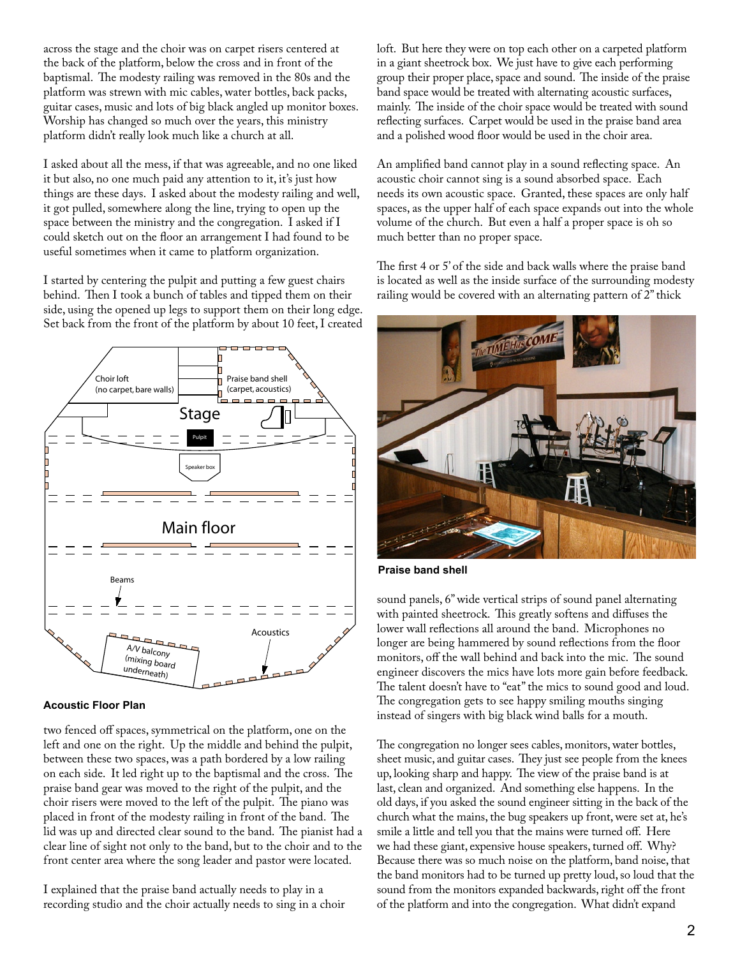across the stage and the choir was on carpet risers centered at the back of the platform, below the cross and in front of the baptismal. The modesty railing was removed in the 80s and the platform was strewn with mic cables, water bottles, back packs, guitar cases, music and lots of big black angled up monitor boxes. Worship has changed so much over the years, this ministry platform didn't really look much like a church at all.

I asked about all the mess, if that was agreeable, and no one liked it but also, no one much paid any attention to it, it's just how things are these days. I asked about the modesty railing and well, it got pulled, somewhere along the line, trying to open up the space between the ministry and the congregation. I asked if I could sketch out on the floor an arrangement I had found to be useful sometimes when it came to platform organization.

I started by centering the pulpit and putting a few guest chairs behind. Then I took a bunch of tables and tipped them on their side, using the opened up legs to support them on their long edge. Set back from the front of the platform by about 10 feet, I created



**Acoustic Floor Plan**

two fenced off spaces, symmetrical on the platform, one on the left and one on the right. Up the middle and behind the pulpit, between these two spaces, was a path bordered by a low railing on each side. It led right up to the baptismal and the cross. The praise band gear was moved to the right of the pulpit, and the choir risers were moved to the left of the pulpit. The piano was placed in front of the modesty railing in front of the band. The lid was up and directed clear sound to the band. The pianist had a clear line of sight not only to the band, but to the choir and to the front center area where the song leader and pastor were located.

I explained that the praise band actually needs to play in a recording studio and the choir actually needs to sing in a choir loft. But here they were on top each other on a carpeted platform in a giant sheetrock box. We just have to give each performing group their proper place, space and sound. The inside of the praise band space would be treated with alternating acoustic surfaces, mainly. The inside of the choir space would be treated with sound reflecting surfaces. Carpet would be used in the praise band area and a polished wood floor would be used in the choir area.

An amplified band cannot play in a sound reflecting space. An acoustic choir cannot sing is a sound absorbed space. Each needs its own acoustic space. Granted, these spaces are only half spaces, as the upper half of each space expands out into the whole volume of the church. But even a half a proper space is oh so much better than no proper space.

The first 4 or 5' of the side and back walls where the praise band is located as well as the inside surface of the surrounding modesty railing would be covered with an alternating pattern of 2" thick



**Praise band shell**

sound panels, 6" wide vertical strips of sound panel alternating with painted sheetrock. This greatly softens and diffuses the lower wall reflections all around the band. Microphones no longer are being hammered by sound reflections from the floor monitors, off the wall behind and back into the mic. The sound engineer discovers the mics have lots more gain before feedback. The talent doesn't have to "eat" the mics to sound good and loud. The congregation gets to see happy smiling mouths singing instead of singers with big black wind balls for a mouth.

The congregation no longer sees cables, monitors, water bottles, sheet music, and guitar cases. They just see people from the knees up, looking sharp and happy. The view of the praise band is at last, clean and organized. And something else happens. In the old days, if you asked the sound engineer sitting in the back of the church what the mains, the bug speakers up front, were set at, he's smile a little and tell you that the mains were turned off. Here we had these giant, expensive house speakers, turned off. Why? Because there was so much noise on the platform, band noise, that the band monitors had to be turned up pretty loud, so loud that the sound from the monitors expanded backwards, right off the front of the platform and into the congregation. What didn't expand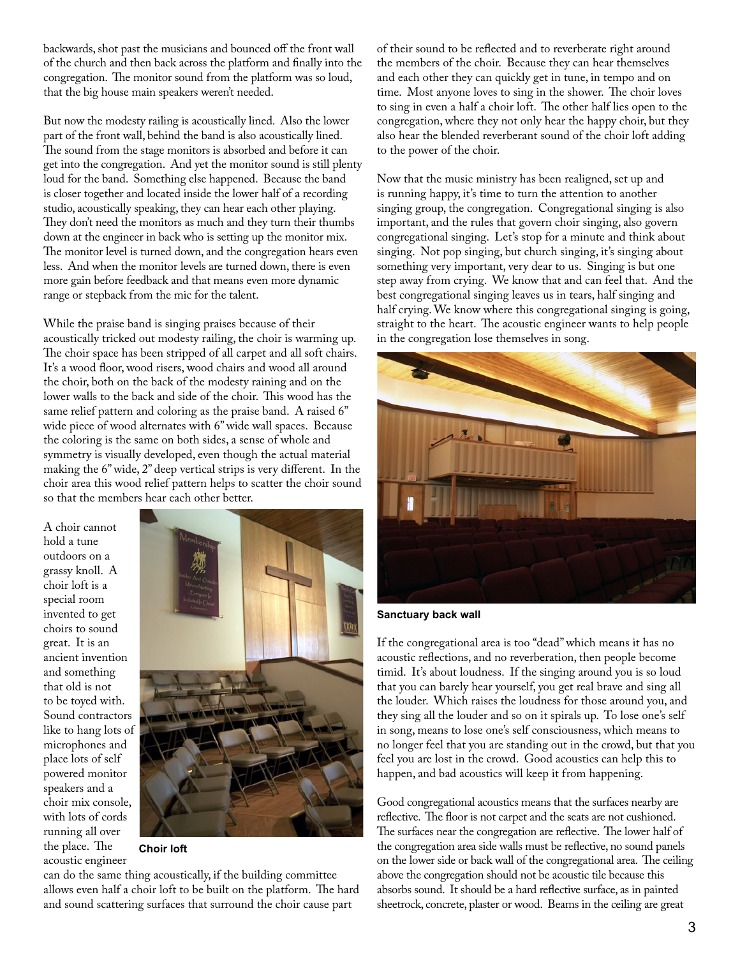backwards, shot past the musicians and bounced off the front wall of the church and then back across the platform and finally into the congregation. The monitor sound from the platform was so loud, that the big house main speakers weren't needed.

But now the modesty railing is acoustically lined. Also the lower part of the front wall, behind the band is also acoustically lined. The sound from the stage monitors is absorbed and before it can get into the congregation. And yet the monitor sound is still plenty loud for the band. Something else happened. Because the band is closer together and located inside the lower half of a recording studio, acoustically speaking, they can hear each other playing. They don't need the monitors as much and they turn their thumbs down at the engineer in back who is setting up the monitor mix. The monitor level is turned down, and the congregation hears even less. And when the monitor levels are turned down, there is even more gain before feedback and that means even more dynamic range or stepback from the mic for the talent.

While the praise band is singing praises because of their acoustically tricked out modesty railing, the choir is warming up. The choir space has been stripped of all carpet and all soft chairs. It's a wood floor, wood risers, wood chairs and wood all around the choir, both on the back of the modesty raining and on the lower walls to the back and side of the choir. This wood has the same relief pattern and coloring as the praise band. A raised 6" wide piece of wood alternates with 6" wide wall spaces. Because the coloring is the same on both sides, a sense of whole and symmetry is visually developed, even though the actual material making the 6" wide, 2" deep vertical strips is very different. In the choir area this wood relief pattern helps to scatter the choir sound so that the members hear each other better.

A choir cannot hold a tune outdoors on a grassy knoll. A choir loft is a special room invented to get choirs to sound great. It is an ancient invention and something that old is not to be toyed with. Sound contractors like to hang lots of microphones and place lots of self powered monitor speakers and a choir mix console, with lots of cords running all over the place. The acoustic engineer



**Choir loft**

can do the same thing acoustically, if the building committee allows even half a choir loft to be built on the platform. The hard and sound scattering surfaces that surround the choir cause part

of their sound to be reflected and to reverberate right around the members of the choir. Because they can hear themselves and each other they can quickly get in tune, in tempo and on time. Most anyone loves to sing in the shower. The choir loves to sing in even a half a choir loft. The other half lies open to the congregation, where they not only hear the happy choir, but they also hear the blended reverberant sound of the choir loft adding to the power of the choir.

Now that the music ministry has been realigned, set up and is running happy, it's time to turn the attention to another singing group, the congregation. Congregational singing is also important, and the rules that govern choir singing, also govern congregational singing. Let's stop for a minute and think about singing. Not pop singing, but church singing, it's singing about something very important, very dear to us. Singing is but one step away from crying. We know that and can feel that. And the best congregational singing leaves us in tears, half singing and half crying. We know where this congregational singing is going, straight to the heart. The acoustic engineer wants to help people in the congregation lose themselves in song.



**Sanctuary back wall**

If the congregational area is too "dead" which means it has no acoustic reflections, and no reverberation, then people become timid. It's about loudness. If the singing around you is so loud that you can barely hear yourself, you get real brave and sing all the louder. Which raises the loudness for those around you, and they sing all the louder and so on it spirals up. To lose one's self in song, means to lose one's self consciousness, which means to no longer feel that you are standing out in the crowd, but that you feel you are lost in the crowd. Good acoustics can help this to happen, and bad acoustics will keep it from happening.

Good congregational acoustics means that the surfaces nearby are reflective. The floor is not carpet and the seats are not cushioned. The surfaces near the congregation are reflective. The lower half of the congregation area side walls must be reflective, no sound panels on the lower side or back wall of the congregational area. The ceiling above the congregation should not be acoustic tile because this absorbs sound. It should be a hard reflective surface, as in painted sheetrock, concrete, plaster or wood. Beams in the ceiling are great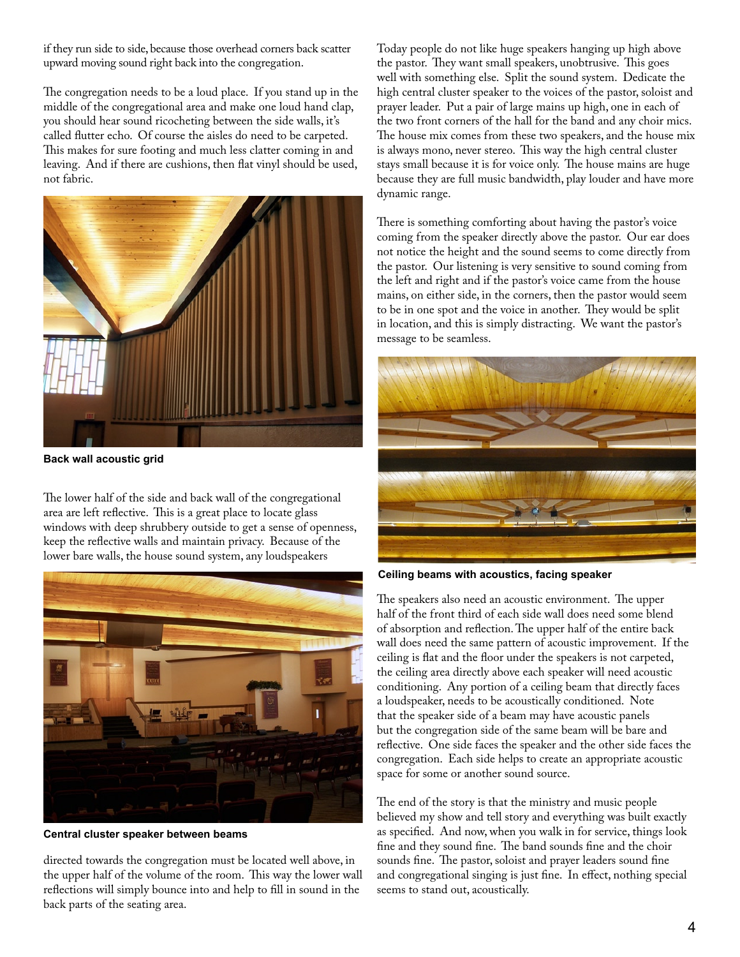if they run side to side, because those overhead corners back scatter upward moving sound right back into the congregation.

The congregation needs to be a loud place. If you stand up in the middle of the congregational area and make one loud hand clap, you should hear sound ricocheting between the side walls, it's called flutter echo. Of course the aisles do need to be carpeted. This makes for sure footing and much less clatter coming in and leaving. And if there are cushions, then flat vinyl should be used, not fabric.



**Back wall acoustic grid**

The lower half of the side and back wall of the congregational area are left reflective. This is a great place to locate glass windows with deep shrubbery outside to get a sense of openness, keep the reflective walls and maintain privacy. Because of the lower bare walls, the house sound system, any loudspeakers



**Central cluster speaker between beams**

directed towards the congregation must be located well above, in the upper half of the volume of the room. This way the lower wall reflections will simply bounce into and help to fill in sound in the back parts of the seating area.

Today people do not like huge speakers hanging up high above the pastor. They want small speakers, unobtrusive. This goes well with something else. Split the sound system. Dedicate the high central cluster speaker to the voices of the pastor, soloist and prayer leader. Put a pair of large mains up high, one in each of the two front corners of the hall for the band and any choir mics. The house mix comes from these two speakers, and the house mix is always mono, never stereo. This way the high central cluster stays small because it is for voice only. The house mains are huge because they are full music bandwidth, play louder and have more dynamic range.

There is something comforting about having the pastor's voice coming from the speaker directly above the pastor. Our ear does not notice the height and the sound seems to come directly from the pastor. Our listening is very sensitive to sound coming from the left and right and if the pastor's voice came from the house mains, on either side, in the corners, then the pastor would seem to be in one spot and the voice in another. They would be split in location, and this is simply distracting. We want the pastor's message to be seamless.



**Ceiling beams with acoustics, facing speaker**

The speakers also need an acoustic environment. The upper half of the front third of each side wall does need some blend of absorption and reflection. The upper half of the entire back wall does need the same pattern of acoustic improvement. If the ceiling is flat and the floor under the speakers is not carpeted, the ceiling area directly above each speaker will need acoustic conditioning. Any portion of a ceiling beam that directly faces a loudspeaker, needs to be acoustically conditioned. Note that the speaker side of a beam may have acoustic panels but the congregation side of the same beam will be bare and reflective. One side faces the speaker and the other side faces the congregation. Each side helps to create an appropriate acoustic space for some or another sound source.

The end of the story is that the ministry and music people believed my show and tell story and everything was built exactly as specified. And now, when you walk in for service, things look fine and they sound fine. The band sounds fine and the choir sounds fine. The pastor, soloist and prayer leaders sound fine and congregational singing is just fine. In effect, nothing special seems to stand out, acoustically.